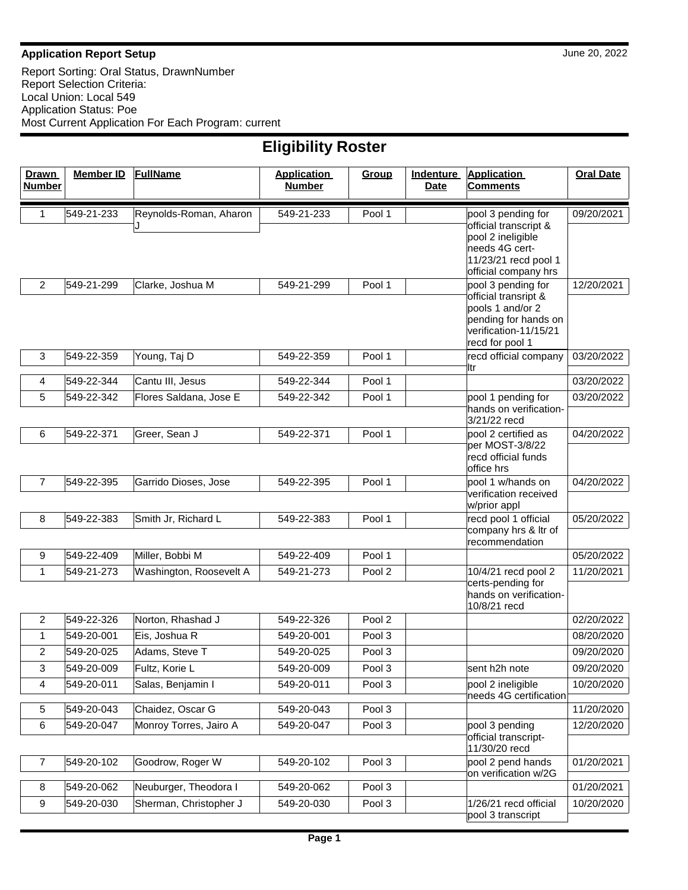#### **Application Report Setup** June 20, 2022

Report Sorting: Oral Status, DrawnNumber Report Selection Criteria: Local Union: Local 549 Application Status: Poe Most Current Application For Each Program: current

| <b>Drawn</b><br><b>Number</b> | <b>Member ID</b> | <b>FullName</b>         | <b>Application</b><br><b>Number</b> | Group  | <b>Indenture</b><br>Date | <b>Application</b><br><b>Comments</b>       | <b>Oral Date</b> |
|-------------------------------|------------------|-------------------------|-------------------------------------|--------|--------------------------|---------------------------------------------|------------------|
|                               |                  |                         |                                     |        |                          |                                             |                  |
| 1                             | 549-21-233       | Reynolds-Roman, Aharon  | 549-21-233                          | Pool 1 |                          | pool 3 pending for                          | 09/20/2021       |
|                               |                  |                         |                                     |        |                          | official transcript &<br>pool 2 ineligible  |                  |
|                               |                  |                         |                                     |        |                          | needs 4G cert-                              |                  |
|                               |                  |                         |                                     |        |                          | 11/23/21 recd pool 1                        |                  |
| $\overline{c}$                | 549-21-299       | Clarke, Joshua M        | 549-21-299                          | Pool 1 |                          | official company hrs<br>pool 3 pending for  | 12/20/2021       |
|                               |                  |                         |                                     |        |                          | official transript &                        |                  |
|                               |                  |                         |                                     |        |                          | pools 1 and/or 2<br>pending for hands on    |                  |
|                               |                  |                         |                                     |        |                          | verification-11/15/21                       |                  |
|                               |                  |                         |                                     |        |                          | recd for pool 1                             |                  |
| 3                             | 549-22-359       | Young, Taj D            | 549-22-359                          | Pool 1 |                          | recd official company<br>ltr                | 03/20/2022       |
| 4                             | 549-22-344       | Cantu III, Jesus        | 549-22-344                          | Pool 1 |                          |                                             | 03/20/2022       |
| 5                             | 549-22-342       | Flores Saldana, Jose E  | 549-22-342                          | Pool 1 |                          | pool 1 pending for                          | 03/20/2022       |
|                               |                  |                         |                                     |        |                          | hands on verification-<br>3/21/22 recd      |                  |
| 6                             | 549-22-371       | Greer, Sean J           | 549-22-371                          | Pool 1 |                          | pool 2 certified as                         | 04/20/2022       |
|                               |                  |                         |                                     |        |                          | per MOST-3/8/22<br>recd official funds      |                  |
|                               |                  |                         |                                     |        |                          | office hrs                                  |                  |
| $\overline{7}$                | 549-22-395       | Garrido Dioses, Jose    | 549-22-395                          | Pool 1 |                          | pool 1 w/hands on                           | 04/20/2022       |
|                               |                  |                         |                                     |        |                          | verification received<br>w/prior appl       |                  |
| 8                             | 549-22-383       | Smith Jr, Richard L     | 549-22-383                          | Pool 1 |                          | recd pool 1 official                        | 05/20/2022       |
|                               |                  |                         |                                     |        |                          | company hrs & Itr of<br>recommendation      |                  |
| 9                             | 549-22-409       | Miller, Bobbi M         | 549-22-409                          | Pool 1 |                          |                                             | 05/20/2022       |
| 1                             | 549-21-273       | Washington, Roosevelt A | 549-21-273                          | Pool 2 |                          | 10/4/21 recd pool 2                         | 11/20/2021       |
|                               |                  |                         |                                     |        |                          | certs-pending for<br>hands on verification- |                  |
|                               |                  |                         |                                     |        |                          | 10/8/21 recd                                |                  |
| 2                             | 549-22-326       | Norton, Rhashad J       | 549-22-326                          | Pool 2 |                          |                                             | 02/20/2022       |
| 1                             | 549-20-001       | Eis, Joshua R           | 549-20-001                          | Pool 3 |                          |                                             | 08/20/2020       |
| 2                             | 549-20-025       | Adams, Steve T          | 549-20-025                          | Pool 3 |                          |                                             | 09/20/2020       |
| 3                             | 549-20-009       | Fultz, Korie L          | 549-20-009                          | Pool 3 |                          | sent h2h note                               | 09/20/2020       |
| 4                             | 549-20-011       | Salas, Benjamin I       | 549-20-011                          | Pool 3 |                          | pool 2 ineligible<br>needs 4G certification | 10/20/2020       |
| $\sqrt{5}$                    | 549-20-043       | Chaidez, Oscar G        | 549-20-043                          | Pool 3 |                          |                                             | 11/20/2020       |
| 6                             | 549-20-047       | Monroy Torres, Jairo A  | 549-20-047                          | Pool 3 |                          | pool 3 pending                              | 12/20/2020       |
|                               |                  |                         |                                     |        |                          | official transcript-<br>11/30/20 recd       |                  |
| 7                             | 549-20-102       | Goodrow, Roger W        | 549-20-102                          | Pool 3 |                          | pool 2 pend hands                           | 01/20/2021       |
|                               |                  |                         |                                     |        |                          | on verification w/2G                        |                  |
| 8                             | 549-20-062       | Neuburger, Theodora I   | 549-20-062                          | Pool 3 |                          |                                             | 01/20/2021       |
| 9                             | 549-20-030       | Sherman, Christopher J  | 549-20-030                          | Pool 3 |                          | 1/26/21 recd official<br>pool 3 transcript  | 10/20/2020       |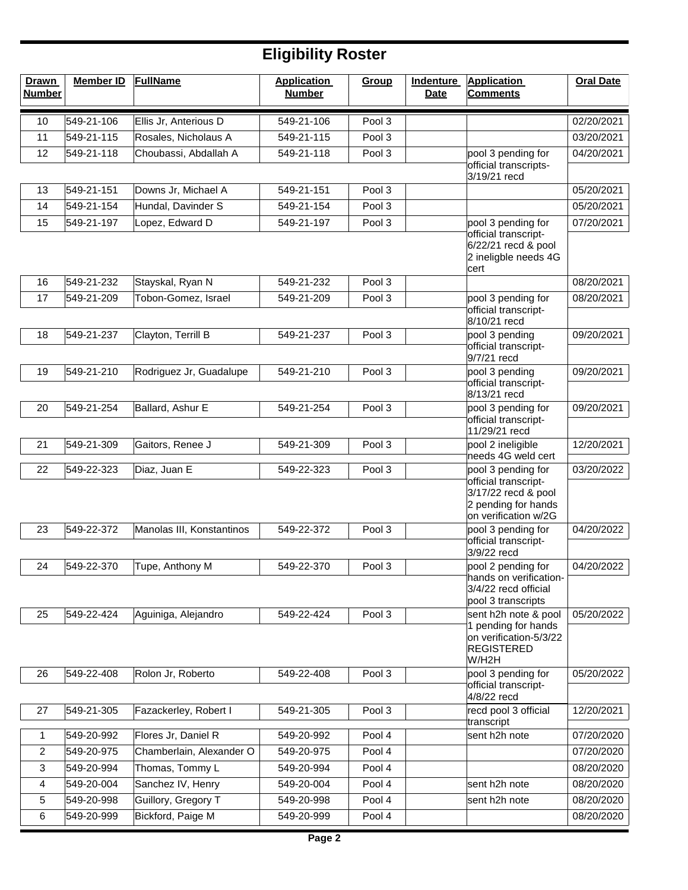| <b>Drawn</b><br><b>Number</b> | <b>Member ID</b> | <b>FullName</b>           | <b>Application</b><br><b>Number</b> | Group  | <b>Indenture</b><br>Date | <b>Application</b><br><b>Comments</b>                                                      | <b>Oral Date</b> |
|-------------------------------|------------------|---------------------------|-------------------------------------|--------|--------------------------|--------------------------------------------------------------------------------------------|------------------|
| 10                            | 549-21-106       | Ellis Jr, Anterious D     | 549-21-106                          | Pool 3 |                          |                                                                                            | 02/20/2021       |
| 11                            | 549-21-115       | Rosales, Nicholaus A      | 549-21-115                          | Pool 3 |                          |                                                                                            | 03/20/2021       |
| 12                            | 549-21-118       | Choubassi, Abdallah A     | 549-21-118                          | Pool 3 |                          | pool 3 pending for                                                                         | 04/20/2021       |
|                               |                  |                           |                                     |        |                          | official transcripts-<br>3/19/21 recd                                                      |                  |
| 13                            | 549-21-151       | Downs Jr, Michael A       | 549-21-151                          | Pool 3 |                          |                                                                                            | 05/20/2021       |
| 14                            | 549-21-154       | Hundal, Davinder S        | 549-21-154                          | Pool 3 |                          |                                                                                            | 05/20/2021       |
| 15                            | 549-21-197       | Lopez, Edward D           | 549-21-197                          | Pool 3 |                          | pool 3 pending for                                                                         | 07/20/2021       |
|                               |                  |                           |                                     |        |                          | official transcript-<br>6/22/21 recd & pool<br>2 ineligble needs 4G<br>cert                |                  |
| 16                            | 549-21-232       | Stayskal, Ryan N          | 549-21-232                          | Pool 3 |                          |                                                                                            | 08/20/2021       |
| 17                            | 549-21-209       | Tobon-Gomez, Israel       | 549-21-209                          | Pool 3 |                          | pool 3 pending for                                                                         | 08/20/2021       |
|                               |                  |                           |                                     |        |                          | official transcript-<br>8/10/21 recd                                                       |                  |
| 18                            | 549-21-237       | Clayton, Terrill B        | 549-21-237                          | Pool 3 |                          | pool 3 pending<br>official transcript-<br>9/7/21 recd                                      | 09/20/2021       |
| 19                            | 549-21-210       | Rodriguez Jr, Guadalupe   | 549-21-210                          | Pool 3 |                          | pool 3 pending                                                                             | 09/20/2021       |
|                               |                  |                           |                                     |        |                          | official transcript-<br>8/13/21 recd                                                       |                  |
| 20                            | 549-21-254       | Ballard, Ashur E          | 549-21-254                          | Pool 3 |                          | pool 3 pending for<br>official transcript-<br>11/29/21 recd                                | 09/20/2021       |
| 21                            | 549-21-309       | Gaitors, Renee J          | 549-21-309                          | Pool 3 |                          | pool 2 ineligible<br>needs 4G weld cert                                                    | 12/20/2021       |
| 22                            | 549-22-323       | Diaz, Juan E              | 549-22-323                          | Pool 3 |                          | pool 3 pending for                                                                         | 03/20/2022       |
|                               |                  |                           |                                     |        |                          | official transcript-<br>3/17/22 recd & pool<br>2 pending for hands<br>on verification w/2G |                  |
| 23                            | 549-22-372       | Manolas III, Konstantinos | 549-22-372                          | Pool 3 |                          | pool 3 pending for                                                                         | 04/20/2022       |
| 24                            | 549-22-370       | Tupe, Anthony M           | 549-22-370                          | Pool 3 |                          | official transcript-<br>3/9/22 recd<br>pool 2 pending for                                  | 04/20/2022       |
|                               |                  |                           |                                     |        |                          | hands on verification-<br>3/4/22 recd official<br>pool 3 transcripts                       |                  |
| 25                            | 549-22-424       | Aguiniga, Alejandro       | 549-22-424                          | Pool 3 |                          | sent h2h note & pool<br>1 pending for hands                                                | 05/20/2022       |
|                               |                  |                           |                                     |        |                          | on verification-5/3/22<br><b>REGISTERED</b><br>W/H2H                                       |                  |
| 26                            | 549-22-408       | Rolon Jr, Roberto         | 549-22-408                          | Pool 3 |                          | pool 3 pending for                                                                         | 05/20/2022       |
|                               |                  |                           |                                     |        |                          | official transcript-<br>4/8/22 recd                                                        |                  |
| 27                            | 549-21-305       | Fazackerley, Robert I     | 549-21-305                          | Pool 3 |                          | recd pool 3 official<br>transcript                                                         | 12/20/2021       |
| 1                             | 549-20-992       | Flores Jr, Daniel R       | 549-20-992                          | Pool 4 |                          | sent h2h note                                                                              | 07/20/2020       |
| 2                             | 549-20-975       | Chamberlain, Alexander O  | 549-20-975                          | Pool 4 |                          |                                                                                            | 07/20/2020       |
| 3                             | 549-20-994       | Thomas, Tommy L           | 549-20-994                          | Pool 4 |                          |                                                                                            | 08/20/2020       |
| 4                             | 549-20-004       | Sanchez IV, Henry         | 549-20-004                          | Pool 4 |                          | sent h2h note                                                                              | 08/20/2020       |
| 5                             | 549-20-998       | Guillory, Gregory T       | 549-20-998                          | Pool 4 |                          | sent h2h note                                                                              | 08/20/2020       |
| 6                             | 549-20-999       | Bickford, Paige M         | 549-20-999                          | Pool 4 |                          |                                                                                            | 08/20/2020       |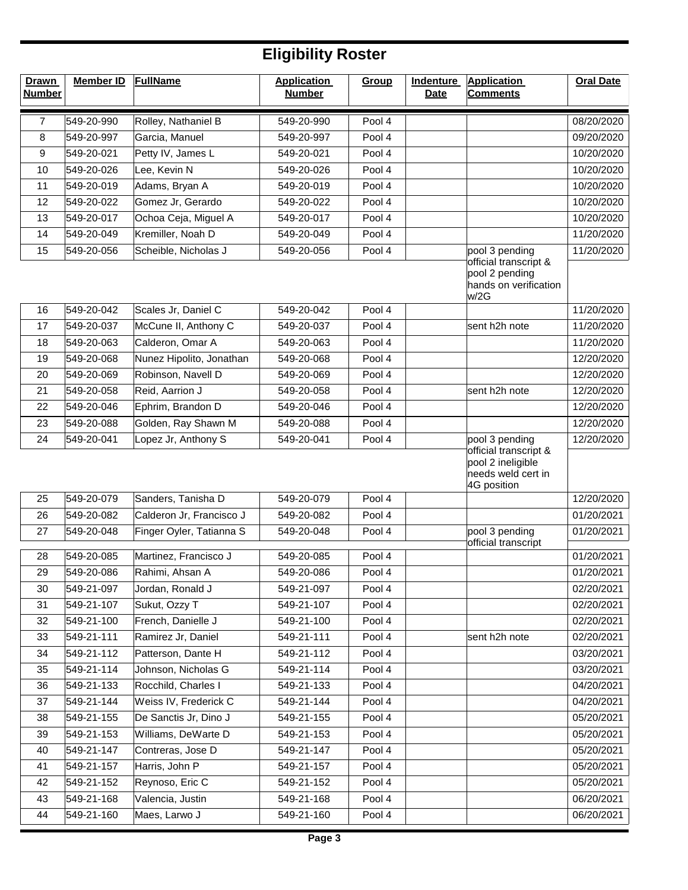| <b>Drawn</b><br><b>Number</b> | <b>Member ID</b> | <b>FullName</b>          | <b>Application</b><br><b>Number</b> | Group  | <b>Indenture</b><br><b>Date</b> | <b>Application</b><br><b>Comments</b>                                                             | <b>Oral Date</b> |
|-------------------------------|------------------|--------------------------|-------------------------------------|--------|---------------------------------|---------------------------------------------------------------------------------------------------|------------------|
| 7                             | 549-20-990       | Rolley, Nathaniel B      | 549-20-990                          | Pool 4 |                                 |                                                                                                   | 08/20/2020       |
| 8                             | 549-20-997       | Garcia, Manuel           | 549-20-997                          | Pool 4 |                                 |                                                                                                   | 09/20/2020       |
| 9                             | 549-20-021       | Petty IV, James L        | 549-20-021                          | Pool 4 |                                 |                                                                                                   | 10/20/2020       |
| 10                            | 549-20-026       | Lee, Kevin N             | 549-20-026                          | Pool 4 |                                 |                                                                                                   | 10/20/2020       |
| 11                            | 549-20-019       | Adams, Bryan A           | 549-20-019                          | Pool 4 |                                 |                                                                                                   | 10/20/2020       |
| 12                            | 549-20-022       | Gomez Jr, Gerardo        | 549-20-022                          | Pool 4 |                                 |                                                                                                   | 10/20/2020       |
| 13                            | 549-20-017       | Ochoa Ceja, Miguel A     | 549-20-017                          | Pool 4 |                                 |                                                                                                   | 10/20/2020       |
| 14                            | 549-20-049       | Kremiller, Noah D        | 549-20-049                          | Pool 4 |                                 |                                                                                                   | 11/20/2020       |
| 15                            | 549-20-056       | Scheible, Nicholas J     | 549-20-056                          | Pool 4 |                                 | pool 3 pending<br>official transcript &<br>pool 2 pending<br>hands on verification<br>w/2G        | 11/20/2020       |
| 16                            | 549-20-042       | Scales Jr, Daniel C      | 549-20-042                          | Pool 4 |                                 |                                                                                                   | 11/20/2020       |
| 17                            | 549-20-037       | McCune II, Anthony C     | 549-20-037                          | Pool 4 |                                 | sent h2h note                                                                                     | 11/20/2020       |
| 18                            | 549-20-063       | Calderon, Omar A         | 549-20-063                          | Pool 4 |                                 |                                                                                                   | 11/20/2020       |
| 19                            | 549-20-068       | Nunez Hipolito, Jonathan | 549-20-068                          | Pool 4 |                                 |                                                                                                   | 12/20/2020       |
| 20                            | 549-20-069       | Robinson, Navell D       | 549-20-069                          | Pool 4 |                                 |                                                                                                   | 12/20/2020       |
| 21                            | 549-20-058       | Reid, Aarrion J          | 549-20-058                          | Pool 4 |                                 | sent h2h note                                                                                     | 12/20/2020       |
| 22                            | 549-20-046       | Ephrim, Brandon D        | 549-20-046                          | Pool 4 |                                 |                                                                                                   | 12/20/2020       |
| 23                            | 549-20-088       | Golden, Ray Shawn M      | 549-20-088                          | Pool 4 |                                 |                                                                                                   | 12/20/2020       |
| 24                            | 549-20-041       | Lopez Jr, Anthony S      | 549-20-041                          | Pool 4 |                                 | pool 3 pending<br>official transcript &<br>pool 2 ineligible<br>needs weld cert in<br>4G position | 12/20/2020       |
| 25                            | 549-20-079       | Sanders, Tanisha D       | 549-20-079                          | Pool 4 |                                 |                                                                                                   | 12/20/2020       |
| 26                            | 549-20-082       | Calderon Jr, Francisco J | 549-20-082                          | Pool 4 |                                 |                                                                                                   | 01/20/2021       |
| 27                            | 549-20-048       | Finger Oyler, Tatianna S | 549-20-048                          | Pool 4 |                                 | pool 3 pending<br>official transcript                                                             | 01/20/2021       |
| 28                            | 549-20-085       | Martinez, Francisco J    | 549-20-085                          | Pool 4 |                                 |                                                                                                   | 01/20/2021       |
| 29                            | 549-20-086       | Rahimi, Ahsan A          | 549-20-086                          | Pool 4 |                                 |                                                                                                   | 01/20/2021       |
| 30                            | 549-21-097       | Jordan, Ronald J         | 549-21-097                          | Pool 4 |                                 |                                                                                                   | 02/20/2021       |
| 31                            | 549-21-107       | Sukut, Ozzy T            | 549-21-107                          | Pool 4 |                                 |                                                                                                   | 02/20/2021       |
| 32                            | 549-21-100       | French, Danielle J       | 549-21-100                          | Pool 4 |                                 |                                                                                                   | 02/20/2021       |
| 33                            | 549-21-111       | Ramirez Jr, Daniel       | 549-21-111                          | Pool 4 |                                 | sent h2h note                                                                                     | 02/20/2021       |
| 34                            | 549-21-112       | Patterson, Dante H       | 549-21-112                          | Pool 4 |                                 |                                                                                                   | 03/20/2021       |
| 35                            | 549-21-114       | Johnson, Nicholas G      | 549-21-114                          | Pool 4 |                                 |                                                                                                   | 03/20/2021       |
| 36                            | 549-21-133       | Rocchild, Charles I      | 549-21-133                          | Pool 4 |                                 |                                                                                                   | 04/20/2021       |
| 37                            | 549-21-144       | Weiss IV, Frederick C    | 549-21-144                          | Pool 4 |                                 |                                                                                                   | 04/20/2021       |
| 38                            | 549-21-155       | De Sanctis Jr, Dino J    | 549-21-155                          | Pool 4 |                                 |                                                                                                   | 05/20/2021       |
| 39                            | 549-21-153       | Williams, DeWarte D      | 549-21-153                          | Pool 4 |                                 |                                                                                                   | 05/20/2021       |
| 40                            | 549-21-147       | Contreras, Jose D        | 549-21-147                          | Pool 4 |                                 |                                                                                                   | 05/20/2021       |
| 41                            | 549-21-157       | Harris, John P           | 549-21-157                          | Pool 4 |                                 |                                                                                                   | 05/20/2021       |
| 42                            | 549-21-152       | Reynoso, Eric C          | 549-21-152                          | Pool 4 |                                 |                                                                                                   | 05/20/2021       |
| 43                            | 549-21-168       | Valencia, Justin         | 549-21-168                          | Pool 4 |                                 |                                                                                                   | 06/20/2021       |
| 44                            | 549-21-160       | Maes, Larwo J            | 549-21-160                          | Pool 4 |                                 |                                                                                                   | 06/20/2021       |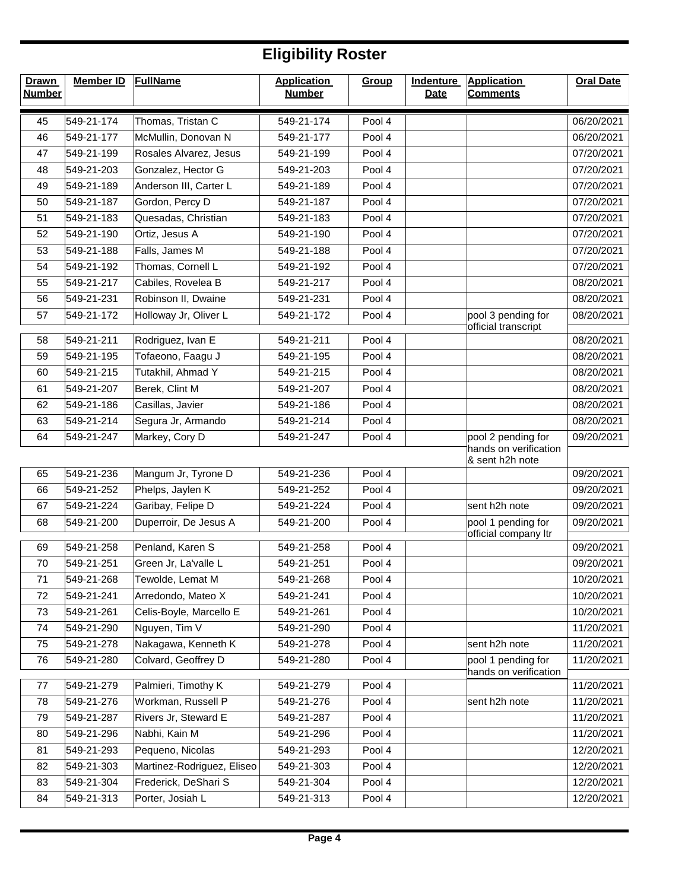| <b>Drawn</b><br><b>Number</b> | <b>Member ID</b> | <b>FullName</b>            | <b>Application</b><br><b>Number</b> | Group  | <b>Indenture</b><br><b>Date</b> | <b>Application</b><br><b>Comments</b>      | <b>Oral Date</b> |
|-------------------------------|------------------|----------------------------|-------------------------------------|--------|---------------------------------|--------------------------------------------|------------------|
| 45                            | 549-21-174       | Thomas, Tristan C          | 549-21-174                          | Pool 4 |                                 |                                            | 06/20/2021       |
| 46                            | 549-21-177       | McMullin, Donovan N        | 549-21-177                          | Pool 4 |                                 |                                            | 06/20/2021       |
| 47                            | 549-21-199       | Rosales Alvarez, Jesus     | 549-21-199                          | Pool 4 |                                 |                                            | 07/20/2021       |
| 48                            | 549-21-203       | Gonzalez, Hector G         | 549-21-203                          | Pool 4 |                                 |                                            | 07/20/2021       |
| 49                            | 549-21-189       | Anderson III, Carter L     | 549-21-189                          | Pool 4 |                                 |                                            | 07/20/2021       |
| 50                            | 549-21-187       | Gordon, Percy D            | 549-21-187                          | Pool 4 |                                 |                                            | 07/20/2021       |
| 51                            | 549-21-183       | Quesadas, Christian        | 549-21-183                          | Pool 4 |                                 |                                            | 07/20/2021       |
| 52                            | 549-21-190       | Ortiz, Jesus A             | 549-21-190                          | Pool 4 |                                 |                                            | 07/20/2021       |
| 53                            | 549-21-188       | Falls, James M             | 549-21-188                          | Pool 4 |                                 |                                            | 07/20/2021       |
| 54                            | 549-21-192       | Thomas, Cornell L          | 549-21-192                          | Pool 4 |                                 |                                            | 07/20/2021       |
| 55                            | 549-21-217       | Cabiles, Rovelea B         | 549-21-217                          | Pool 4 |                                 |                                            | 08/20/2021       |
| 56                            | 549-21-231       | Robinson II, Dwaine        | 549-21-231                          | Pool 4 |                                 |                                            | 08/20/2021       |
| 57                            | 549-21-172       | Holloway Jr, Oliver L      | 549-21-172                          | Pool 4 |                                 | pool 3 pending for<br>official transcript  | 08/20/2021       |
| 58                            | 549-21-211       | Rodriguez, Ivan E          | 549-21-211                          | Pool 4 |                                 |                                            | 08/20/2021       |
| 59                            | 549-21-195       | Tofaeono, Faagu J          | 549-21-195                          | Pool 4 |                                 |                                            | 08/20/2021       |
| 60                            | 549-21-215       | Tutakhil, Ahmad Y          | 549-21-215                          | Pool 4 |                                 |                                            | 08/20/2021       |
| 61                            | 549-21-207       | Berek, Clint M             | 549-21-207                          | Pool 4 |                                 |                                            | 08/20/2021       |
| 62                            | 549-21-186       | Casillas, Javier           | 549-21-186                          | Pool 4 |                                 |                                            | 08/20/2021       |
| 63                            | 549-21-214       | Segura Jr, Armando         | 549-21-214                          | Pool 4 |                                 |                                            | 08/20/2021       |
| 64                            | 549-21-247       | Markey, Cory D             | 549-21-247                          | Pool 4 |                                 | pool 2 pending for                         | 09/20/2021       |
|                               |                  |                            |                                     |        |                                 | hands on verification<br>& sent h2h note   |                  |
| 65                            | 549-21-236       | Mangum Jr, Tyrone D        | 549-21-236                          | Pool 4 |                                 |                                            | 09/20/2021       |
| 66                            | 549-21-252       | Phelps, Jaylen K           | 549-21-252                          | Pool 4 |                                 |                                            | 09/20/2021       |
| 67                            | 549-21-224       | Garibay, Felipe D          | 549-21-224                          | Pool 4 |                                 | sent h2h note                              | 09/20/2021       |
| 68                            | 549-21-200       | Duperroir, De Jesus A      | 549-21-200                          | Pool 4 |                                 | pool 1 pending for<br>official company ltr | 09/20/2021       |
| 69                            | 549-21-258       | Penland, Karen S           | 549-21-258                          | Pool 4 |                                 |                                            | 09/20/2021       |
| 70                            | 549-21-251       | Green Jr, La'valle L       | 549-21-251                          | Pool 4 |                                 |                                            | 09/20/2021       |
| 71                            | 549-21-268       | Tewolde, Lemat M           | 549-21-268                          | Pool 4 |                                 |                                            | 10/20/2021       |
| 72                            | 549-21-241       | Arredondo, Mateo X         | 549-21-241                          | Pool 4 |                                 |                                            | 10/20/2021       |
| 73                            | 549-21-261       | Celis-Boyle, Marcello E    | 549-21-261                          | Pool 4 |                                 |                                            | 10/20/2021       |
| 74                            | 549-21-290       | Nguyen, Tim V              | 549-21-290                          | Pool 4 |                                 |                                            | 11/20/2021       |
| 75                            | 549-21-278       | Nakagawa, Kenneth K        | 549-21-278                          | Pool 4 |                                 | sent h2h note                              | 11/20/2021       |
| 76                            | 549-21-280       | Colvard, Geoffrey D        | 549-21-280                          | Pool 4 |                                 | pool 1 pending for                         | 11/20/2021       |
| 77                            | 549-21-279       | Palmieri, Timothy K        | 549-21-279                          | Pool 4 |                                 | hands on verification                      | 11/20/2021       |
| 78                            | 549-21-276       | Workman, Russell P         | 549-21-276                          | Pool 4 |                                 | sent h2h note                              | 11/20/2021       |
| 79                            | 549-21-287       | Rivers Jr, Steward E       | 549-21-287                          | Pool 4 |                                 |                                            | 11/20/2021       |
| 80                            | 549-21-296       | Nabhi, Kain M              | 549-21-296                          | Pool 4 |                                 |                                            | 11/20/2021       |
| 81                            | 549-21-293       | Pequeno, Nicolas           | 549-21-293                          | Pool 4 |                                 |                                            | 12/20/2021       |
| 82                            | 549-21-303       | Martinez-Rodriguez, Eliseo | 549-21-303                          | Pool 4 |                                 |                                            | 12/20/2021       |
| 83                            | 549-21-304       | Frederick, DeShari S       | 549-21-304                          | Pool 4 |                                 |                                            | 12/20/2021       |
| 84                            | 549-21-313       | Porter, Josiah L           | 549-21-313                          | Pool 4 |                                 |                                            | 12/20/2021       |